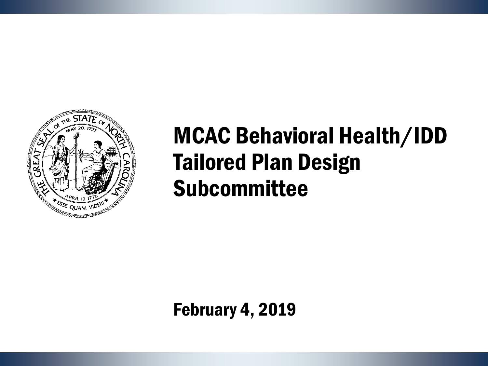

## MCAC Behavioral Health/IDD Tailored Plan Design Subcommittee

February 4, 2019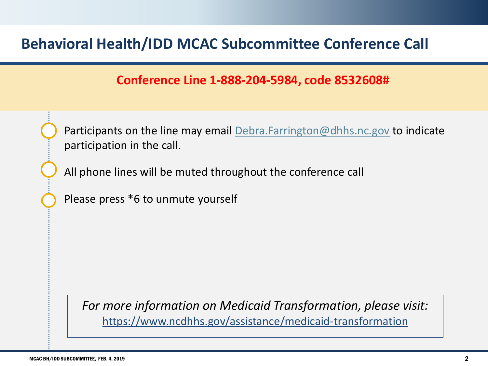### **Behavioral Health/IDD MCAC Subcommittee Conference Call**

#### **Conference Line 1-888-204-5984, code 8532608#**



Participants on the line may email [Debra.Farrington@dhhs.nc.gov](mailto:Debra.Farrington@dhhs.nc.gov) to indicate participation in the call.

All phone lines will be muted throughout the conference call

Please press \*6 to unmute yourself

*For more information on Medicaid Transformation, please visit:* https://www.ncdhhs.gov/assistance/medicaid-transformation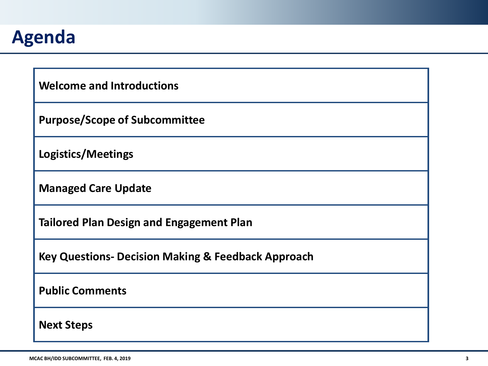

| <b>Welcome and Introductions</b>                              |
|---------------------------------------------------------------|
| <b>Purpose/Scope of Subcommittee</b>                          |
| <b>Logistics/Meetings</b>                                     |
| <b>Managed Care Update</b>                                    |
| <b>Tailored Plan Design and Engagement Plan</b>               |
| <b>Key Questions- Decision Making &amp; Feedback Approach</b> |
| <b>Public Comments</b>                                        |
| <b>Next Steps</b>                                             |
|                                                               |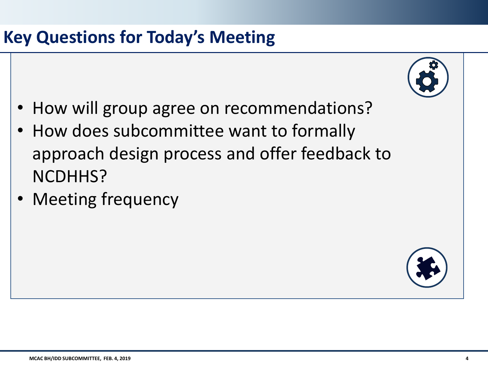

- How will group agree on recommendations?
- How does subcommittee want to formally approach design process and offer feedback to NCDHHS?
- Meeting frequency

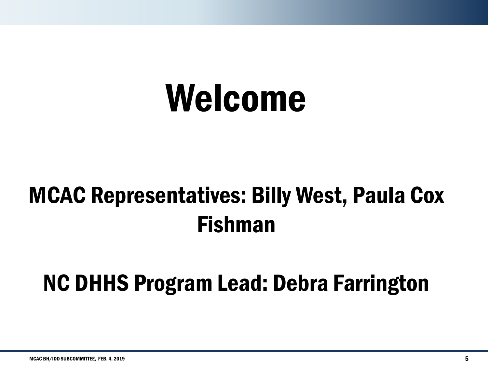# Welcome

## MCAC Representatives: Billy West, Paula Cox Fishman

## NC DHHS Program Lead: Debra Farrington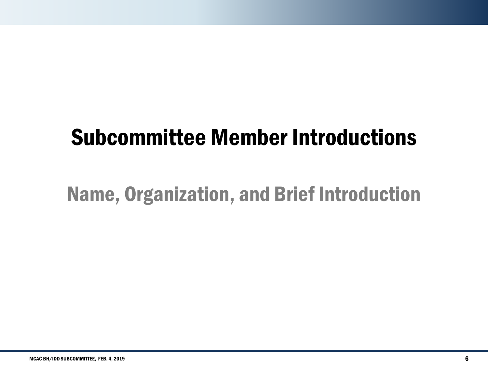## Subcommittee Member Introductions

## Name, Organization, and Brief Introduction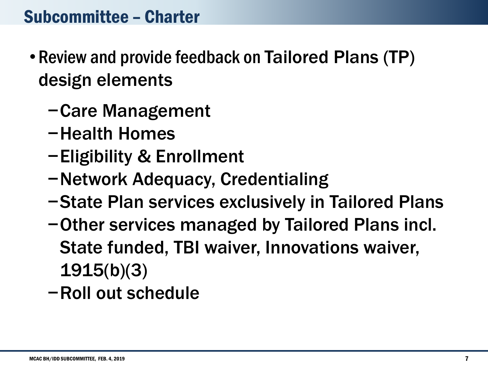## Subcommittee – Charter

- Review and provide feedback on Tailored Plans (TP) design elements
	- −Care Management
	- −Health Homes
	- −Eligibility & Enrollment
	- −Network Adequacy, Credentialing
	- −State Plan services exclusively in Tailored Plans
	- −Other services managed by Tailored Plans incl. State funded, TBI waiver, Innovations waiver, 1915(b)(3)
	- −Roll out schedule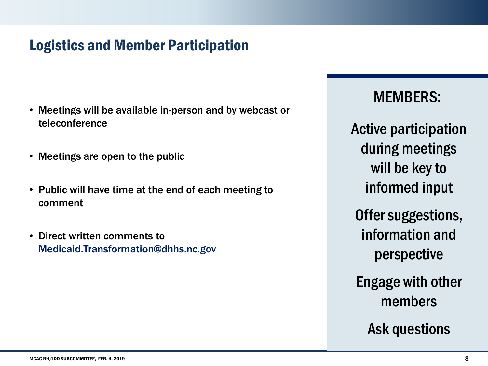### Logistics and Member Participation

- Meetings will be available in-person and by webcast or teleconference
- Meetings are open to the public
- Public will have time at the end of each meeting to comment
- Direct written comments to Medicaid.Transformation@dhhs.nc.gov

MEMBERS:

Active participation during meetings will be key to informed input

Offer suggestions, information and perspective

Engage with other members

Ask questions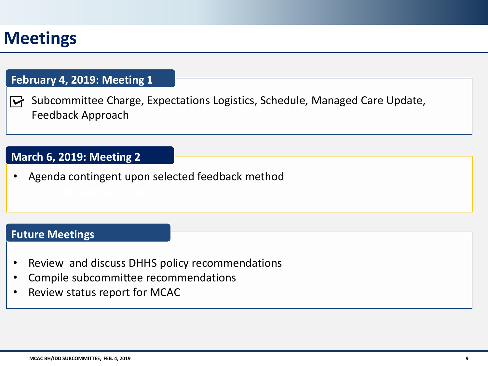## **Meetings**

#### **February 4, 2019: Meeting 1**

 $\triangleright$  Subcommittee Charge, Expectations Logistics, Schedule, Managed Care Update, Feedback Approach

#### **March 6, 2019: Meeting 2**

**•** Agenda contingent upon selected feedback method

#### **Future Meetings**

- Review and discuss DHHS policy recommendations
- Compile subcommittee recommendations
- Review status report for MCAC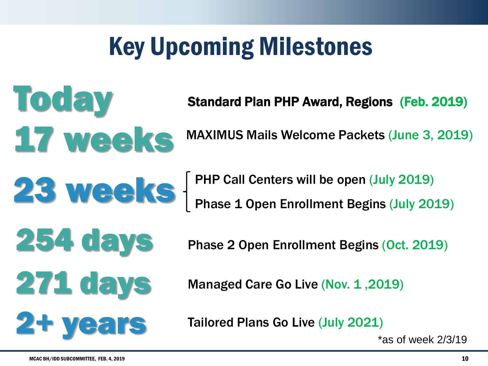## Key Upcoming Milestones

Standard Plan PHP Award, Regions (Feb. 2019)

MAXIMUS Mails Welcome Packets (June 3, 2019)

254 days

17 weeks

**Today** 

**23 Weeks** FIP Call Centers will be open (July 2019) Phase 1 Open Enrollment Begins (July 2019)

Phase 2 Open Enrollment Begins (Oct. 2019)

271 days Managed Care Go Live (Nov. 1,2019)

Tailored Plans Go Live (July 2021)

\*as of week 2/3/19

2+ years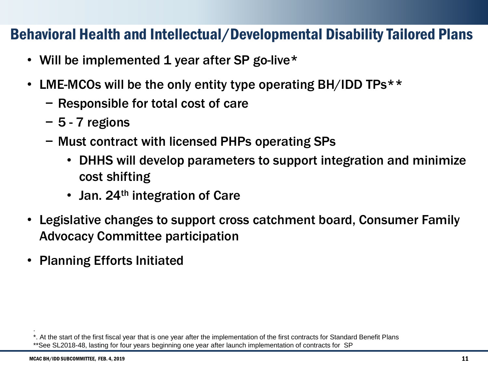### Behavioral Health and Intellectual/Developmental Disability Tailored Plans

- Will be implemented 1 year after SP go-live\*
- LME-MCOs will be the only entity type operating BH/IDD TPs\*\*
	- − Responsible for total cost of care
	- − 5 7 regions
	- − Must contract with licensed PHPs operating SPs
		- DHHS will develop parameters to support integration and minimize cost shifting
		- Jan. 24<sup>th</sup> integration of Care
- Legislative changes to support cross catchment board, Consumer Family Advocacy Committee participation
- Planning Efforts Initiated

.

<sup>\*.</sup> At the start of the first fiscal year that is one year after the implementation of the first contracts for Standard Benefit Plans \*\*See SL2018-48, lasting for four years beginning one year after launch implementation of contracts for SP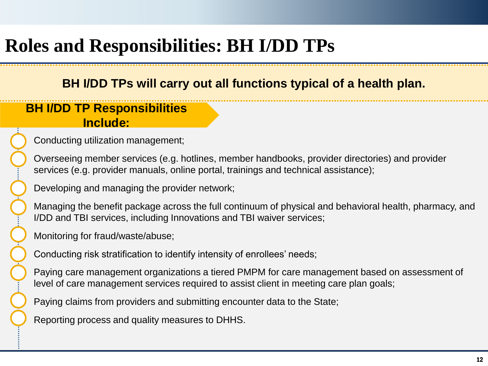## **Roles and Responsibilities: BH I/DD TPs**

#### **BH I/DD TPs will carry out all functions typical of a health plan.**

#### **BH I/DD TP Responsibilities Include:**

Conducting utilization management;

Overseeing member services (e.g. hotlines, member handbooks, provider directories) and provider services (e.g. provider manuals, online portal, trainings and technical assistance);

Developing and managing the provider network;

Managing the benefit package across the full continuum of physical and behavioral health, pharmacy, and I/DD and TBI services, including Innovations and TBI waiver services;

Monitoring for fraud/waste/abuse;

Conducting risk stratification to identify intensity of enrollees' needs;

Paying care management organizations a tiered PMPM for care management based on assessment of level of care management services required to assist client in meeting care plan goals;

Paying claims from providers and submitting encounter data to the State;

Reporting process and quality measures to DHHS.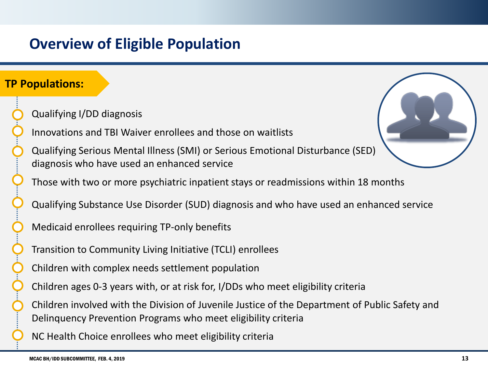### **Overview of Eligible Population**

#### **TP Populations:**

- Qualifying I/DD diagnosis
- Innovations and TBI Waiver enrollees and those on waitlists
- Qualifying Serious Mental Illness (SMI) or Serious Emotional Disturbance (SED) diagnosis who have used an enhanced service
- Those with two or more psychiatric inpatient stays or readmissions within 18 months
- Qualifying Substance Use Disorder (SUD) diagnosis and who have used an enhanced service
- Medicaid enrollees requiring TP-only benefits
- Transition to Community Living Initiative (TCLI) enrollees
- Children with complex needs settlement population
- Children ages 0-3 years with, or at risk for, I/DDs who meet eligibility criteria
- Children involved with the Division of Juvenile Justice of the Department of Public Safety and Delinquency Prevention Programs who meet eligibility criteria
- NC Health Choice enrollees who meet eligibility criteria

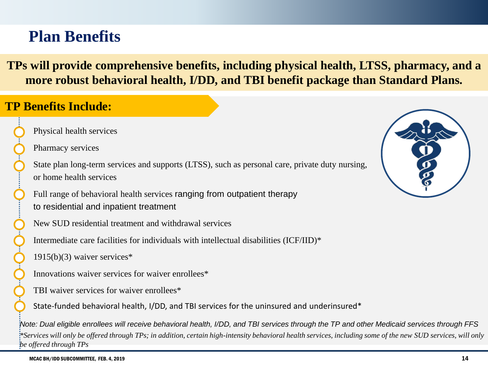## **Plan Benefits**

**TPs will provide comprehensive benefits, including physical health, LTSS, pharmacy, and a more robust behavioral health, I/DD, and TBI benefit package than Standard Plans.**

#### **TP Benefits Include:**

Physical health services

Pharmacy services

State plan long-term services and supports (LTSS), such as personal care, private duty nursing, or home health services

Full range of behavioral health services ranging from outpatient therapy to residential and inpatient treatment

New SUD residential treatment and withdrawal services

Intermediate care facilities for individuals with intellectual disabilities (ICF/IID)\*

1915(b)(3) waiver services\*

Innovations waiver services for waiver enrollees\*

TBI waiver services for waiver enrollees\*

State-funded behavioral health, I/DD, and TBI services for the uninsured and underinsured\*

*Note: Dual eligible enrollees will receive behavioral health, I/DD, and TBI services through the TP and other Medicaid services through FFS \*Services will only be offered through TPs; in addition, certain high-intensity behavioral health services, including some of the new SUD services, will only be offered through TPs*



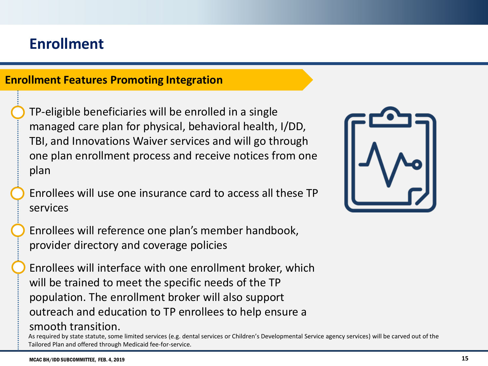### **Enrollment**

#### **Enrollment Features Promoting Integration**

TP-eligible beneficiaries will be enrolled in a single managed care plan for physical, behavioral health, I/DD, TBI, and Innovations Waiver services and will go through one plan enrollment process and receive notices from one plan

Enrollees will use one insurance card to access all these TP services

Enrollees will reference one plan's member handbook, provider directory and coverage policies

Enrollees will interface with one enrollment broker, which will be trained to meet the specific needs of the TP population. The enrollment broker will also support outreach and education to TP enrollees to help ensure a smooth transition.

As required by state statute, some limited services (e.g. dental services or Children's Developmental Service agency services) will be carved out of the Tailored Plan and offered through Medicaid fee-for-service.

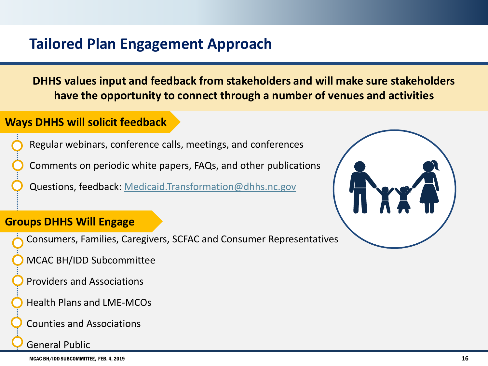### **Tailored Plan Engagement Approach**

**DHHS values input and feedback from stakeholders and will make sure stakeholders have the opportunity to connect through a number of venues and activities**

#### **Ways DHHS will solicit feedback**

Regular webinars, conference calls, meetings, and conferences

Comments on periodic white papers, FAQs, and other publications

Questions, feedback: [Medicaid.Transformation@dhhs.nc.gov](mailto:Medicaid.Transformation@dhhs.nc.gov)

#### **Groups DHHS Will Engage**

- Consumers, Families, Caregivers, SCFAC and Consumer Representatives
- MCAC BH/IDD Subcommittee
- Providers and Associations
- Health Plans and LME-MCOs
- Counties and Associations

General Public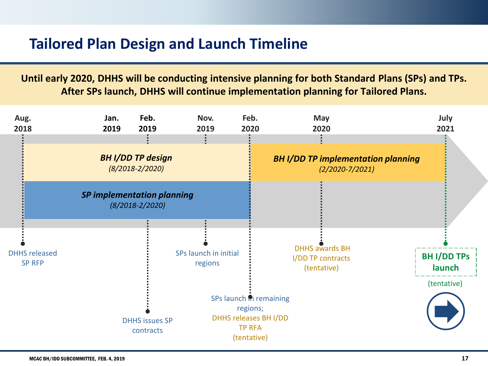### **Tailored Plan Design and Launch Timeline**

**Until early 2020, DHHS will be conducting intensive planning for both Standard Plans (SPs) and TPs. After SPs launch, DHHS will continue implementation planning for Tailored Plans.**

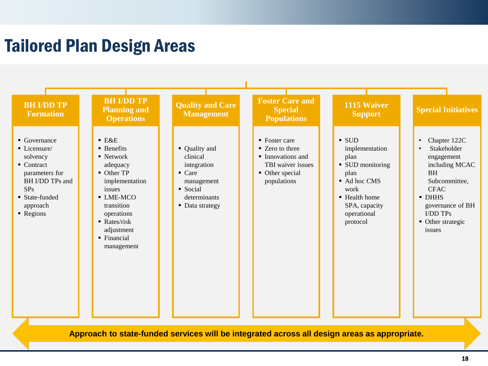## Tailored Plan Design Areas



**Approach to state-funded services will be integrated across all design areas as appropriate.**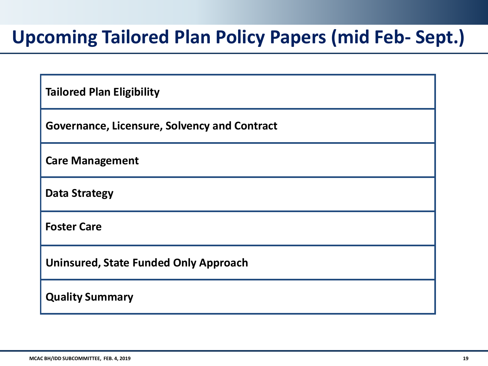## **Upcoming Tailored Plan Policy Papers (mid Feb- Sept.)**

| <b>Tailored Plan Eligibility</b>                    |
|-----------------------------------------------------|
| <b>Governance, Licensure, Solvency and Contract</b> |
| <b>Care Management</b>                              |
| <b>Data Strategy</b>                                |
| <b>Foster Care</b>                                  |
| <b>Uninsured, State Funded Only Approach</b>        |
| <b>Quality Summary</b>                              |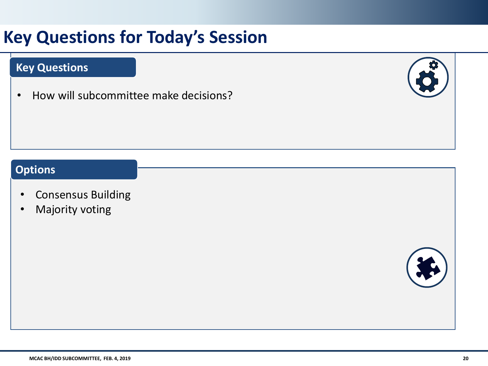## **Key Questions for Today's Session**

#### **Key Questions**

• How will subcommittee make decisions?



#### **Options**

- Consensus Building
- Majority voting

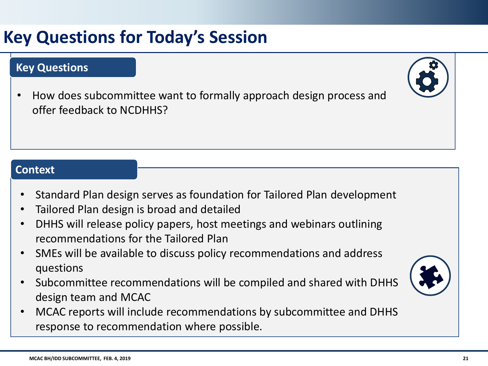## **Key Questions for Today's Session**

#### **Key Questions**

• How does subcommittee want to formally approach design process and offer feedback to NCDHHS?

#### **Context**

- Standard Plan design serves as foundation for Tailored Plan development
- Tailored Plan design is broad and detailed
- DHHS will release policy papers, host meetings and webinars outlining recommendations for the Tailored Plan
- SMEs will be available to discuss policy recommendations and address questions
- Subcommittee recommendations will be compiled and shared with DHHS design team and MCAC
- MCAC reports will include recommendations by subcommittee and DHHS response to recommendation where possible.



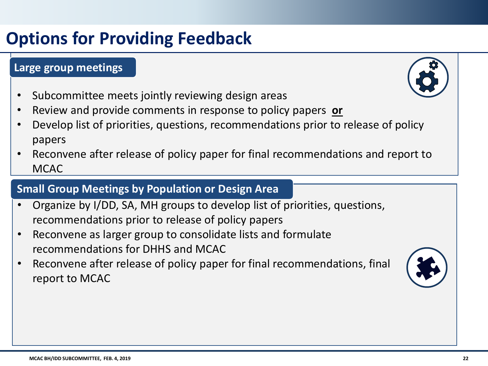## **Options for Providing Feedback**

#### **Large group meetings**

- Subcommittee meets jointly reviewing design areas
- Review and provide comments in response to policy papers **or**
- Develop list of priorities, questions, recommendations prior to release of policy papers
- Reconvene after release of policy paper for final recommendations and report to **MCAC**

#### **Small Group Meetings by Population or Design Area**

- Organize by I/DD, SA, MH groups to develop list of priorities, questions, recommendations prior to release of policy papers
- Reconvene as larger group to consolidate lists and formulate recommendations for DHHS and MCAC
- Reconvene after release of policy paper for final recommendations, final report to MCAC

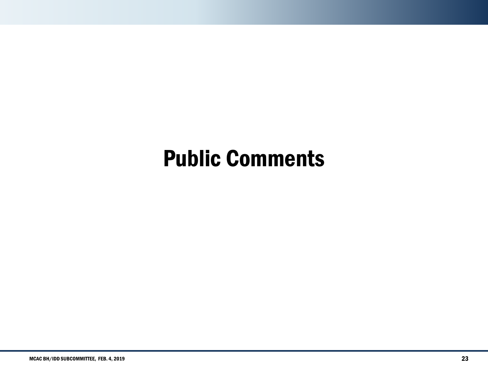## Public Comments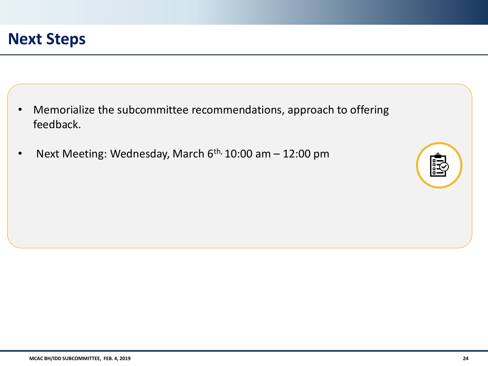- Memorialize the subcommittee recommendations, approach to offering feedback.
- Next Meeting: Wednesday, March  $6<sup>th</sup>$ , 10:00 am  $-$  12:00 pm

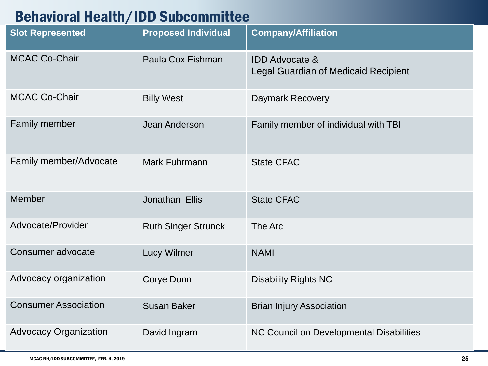### Behavioral Health/IDD Subcommittee

| <b>Slot Represented</b>       | <b>Proposed Individual</b> | <b>Company/Affiliation</b>                                               |
|-------------------------------|----------------------------|--------------------------------------------------------------------------|
| <b>MCAC Co-Chair</b>          | Paula Cox Fishman          | <b>IDD Advocate &amp;</b><br><b>Legal Guardian of Medicaid Recipient</b> |
| <b>MCAC Co-Chair</b>          | <b>Billy West</b>          | <b>Daymark Recovery</b>                                                  |
| <b>Family member</b>          | Jean Anderson              | Family member of individual with TBI                                     |
| <b>Family member/Advocate</b> | Mark Fuhrmann              | <b>State CFAC</b>                                                        |
| <b>Member</b>                 | Jonathan Ellis             | <b>State CFAC</b>                                                        |
| Advocate/Provider             | <b>Ruth Singer Strunck</b> | The Arc                                                                  |
| Consumer advocate             | <b>Lucy Wilmer</b>         | <b>NAMI</b>                                                              |
| Advocacy organization         | Corye Dunn                 | <b>Disability Rights NC</b>                                              |
| <b>Consumer Association</b>   | <b>Susan Baker</b>         | <b>Brian Injury Association</b>                                          |
| <b>Advocacy Organization</b>  | David Ingram               | NC Council on Developmental Disabilities                                 |

н